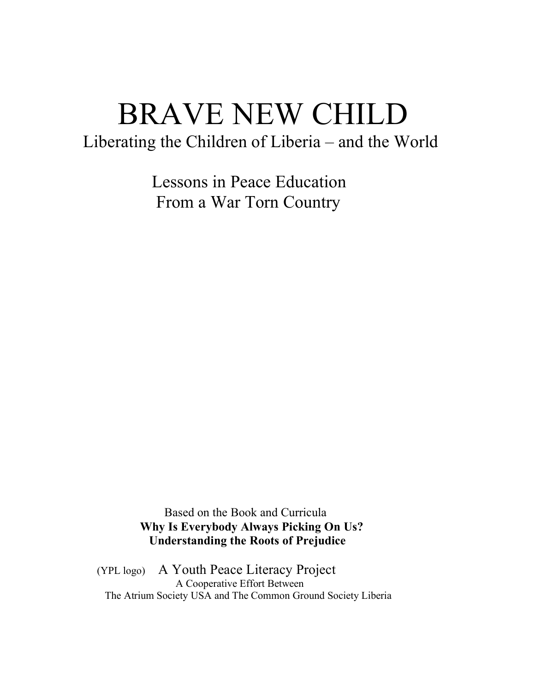# BRAVE NEW CHILD

Liberating the Children of Liberia – and the World

 Lessons in Peace Education From a War Torn Country

 Based on the Book and Curricula **Why Is Everybody Always Picking On Us? Understanding the Roots of Prejudice**

(YPL logo) A Youth Peace Literacy Project<br>A Cooperative Effort Between The Atrium Society USA and The Common Ground Society Liberia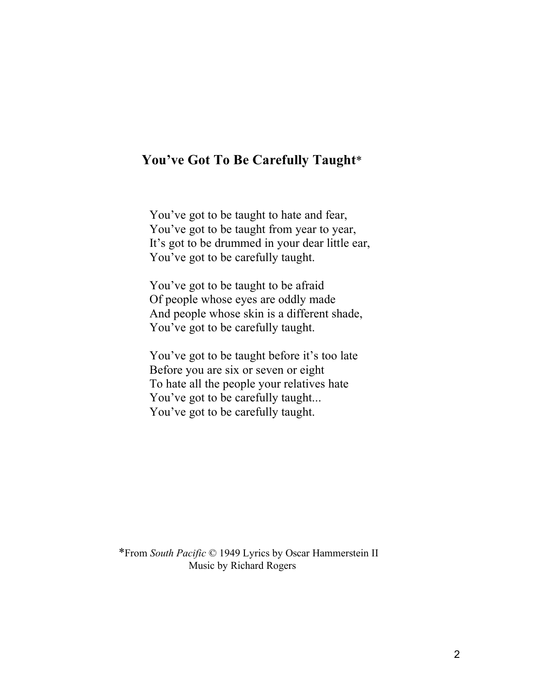# **You've Got To Be Carefully Taught**\*

You've got to be taught to hate and fear, You've got to be taught from year to year, It's got to be drummed in your dear little ear, You've got to be carefully taught.

You've got to be taught to be afraid Of people whose eyes are oddly made And people whose skin is a different shade, You've got to be carefully taught.

You've got to be taught before it's too late Before you are six or seven or eight To hate all the people your relatives hate You've got to be carefully taught... You've got to be carefully taught.

 \*From *South Pacific* © 1949 Lyrics by Oscar Hammerstein II Music by Richard Rogers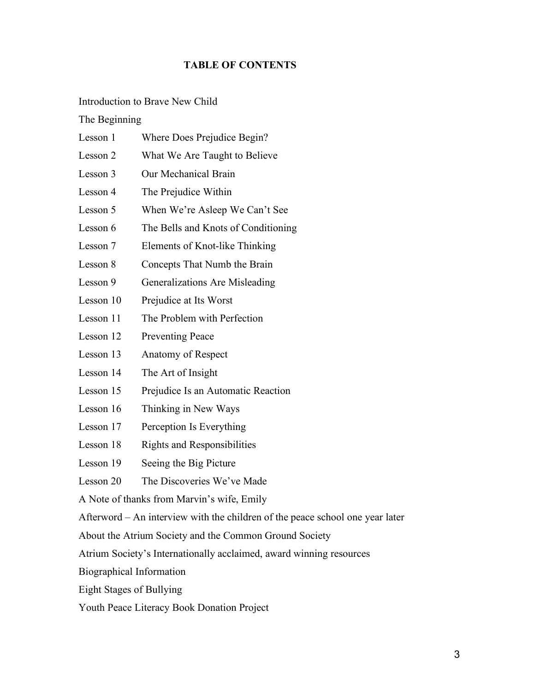# **TABLE OF CONTENTS**

### Introduction to Brave New Child

## The Beginning

| Lesson 1                                                                      | Where Does Prejudice Begin?         |
|-------------------------------------------------------------------------------|-------------------------------------|
| Lesson 2                                                                      | What We Are Taught to Believe       |
| Lesson 3                                                                      | Our Mechanical Brain                |
| Lesson 4                                                                      | The Prejudice Within                |
| Lesson 5                                                                      | When We're Asleep We Can't See      |
| Lesson 6                                                                      | The Bells and Knots of Conditioning |
| Lesson 7                                                                      | Elements of Knot-like Thinking      |
| Lesson 8                                                                      | Concepts That Numb the Brain        |
| Lesson 9                                                                      | Generalizations Are Misleading      |
| Lesson 10                                                                     | Prejudice at Its Worst              |
| Lesson 11                                                                     | The Problem with Perfection         |
| Lesson 12                                                                     | <b>Preventing Peace</b>             |
| Lesson 13                                                                     | Anatomy of Respect                  |
| Lesson 14                                                                     | The Art of Insight                  |
| Lesson 15                                                                     | Prejudice Is an Automatic Reaction  |
| Lesson 16                                                                     | Thinking in New Ways                |
| Lesson 17                                                                     | Perception Is Everything            |
| Lesson 18                                                                     | <b>Rights and Responsibilities</b>  |
| Lesson 19                                                                     | Seeing the Big Picture              |
| Lesson 20                                                                     | The Discoveries We've Made          |
| A Note of thanks from Marvin's wife, Emily                                    |                                     |
| Afterword – An interview with the children of the peace school one year later |                                     |
| About the Atrium Society and the Common Ground Society                        |                                     |
| Atrium Society's Internationally acclaimed, award winning resources           |                                     |
| <b>Biographical Information</b>                                               |                                     |

- Eight Stages of Bullying
- Youth Peace Literacy Book Donation Project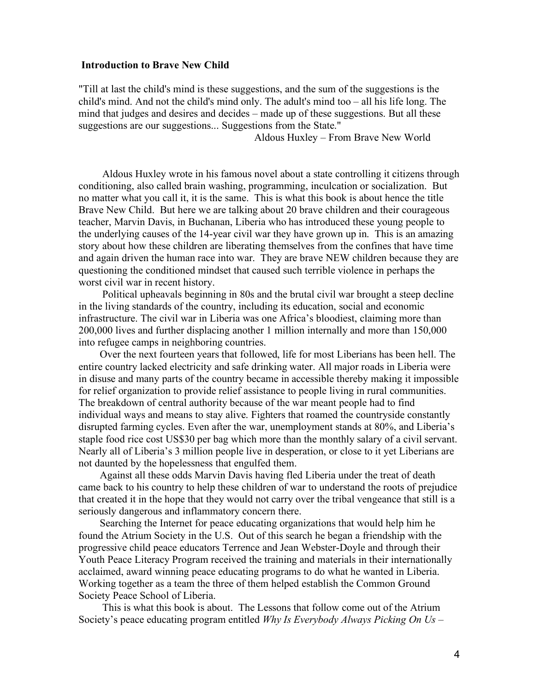#### **Introduction to Brave New Child**

"Till at last the child's mind is these suggestions, and the sum of the suggestions is the child's mind. And not the child's mind only. The adult's mind too – all his life long. The mind that judges and desires and decides – made up of these suggestions. But all these suggestions are our suggestions... Suggestions from the State."

Aldous Huxley – From Brave New World

 Aldous Huxley wrote in his famous novel about a state controlling it citizens through conditioning, also called brain washing, programming, inculcation or socialization. But no matter what you call it, it is the same. This is what this book is about hence the title Brave New Child. But here we are talking about 20 brave children and their courageous teacher, Marvin Davis, in Buchanan, Liberia who has introduced these young people to the underlying causes of the 14-year civil war they have grown up in. This is an amazing story about how these children are liberating themselves from the confines that have time and again driven the human race into war. They are brave NEW children because they are questioning the conditioned mindset that caused such terrible violence in perhaps the worst civil war in recent history.

 Political upheavals beginning in 80s and the brutal civil war brought a steep decline in the living standards of the country, including its education, social and economic infrastructure. The civil war in Liberia was one Africa's bloodiest, claiming more than 200,000 lives and further displacing another 1 million internally and more than 150,000 into refugee camps in neighboring countries.

 Over the next fourteen years that followed, life for most Liberians has been hell. The entire country lacked electricity and safe drinking water. All major roads in Liberia were in disuse and many parts of the country became in accessible thereby making it impossible for relief organization to provide relief assistance to people living in rural communities. The breakdown of central authority because of the war meant people had to find individual ways and means to stay alive. Fighters that roamed the countryside constantly disrupted farming cycles. Even after the war, unemployment stands at 80%, and Liberia's staple food rice cost US\$30 per bag which more than the monthly salary of a civil servant. Nearly all of Liberia's 3 million people live in desperation, or close to it yet Liberians are not daunted by the hopelessness that engulfed them.

 Against all these odds Marvin Davis having fled Liberia under the treat of death came back to his country to help these children of war to understand the roots of prejudice that created it in the hope that they would not carry over the tribal vengeance that still is a seriously dangerous and inflammatory concern there.

 Searching the Internet for peace educating organizations that would help him he found the Atrium Society in the U.S. Out of this search he began a friendship with the progressive child peace educators Terrence and Jean Webster-Doyle and through their Youth Peace Literacy Program received the training and materials in their internationally acclaimed, award winning peace educating programs to do what he wanted in Liberia. Working together as a team the three of them helped establish the Common Ground Society Peace School of Liberia.

 This is what this book is about. The Lessons that follow come out of the Atrium Society's peace educating program entitled *Why Is Everybody Always Picking On Us –*